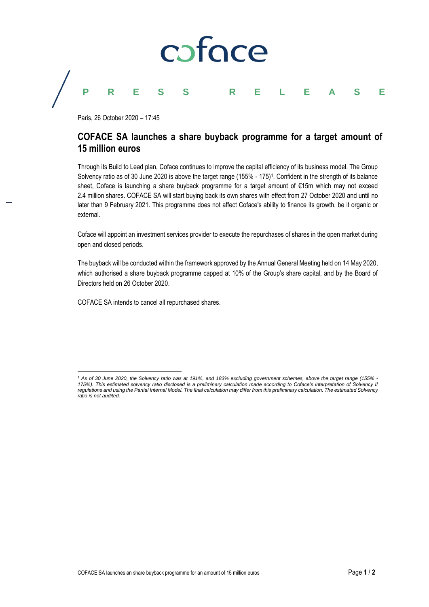

## **PRESS RELEASE**

Paris, 26 October 2020 – 17:45

## **COFACE SA launches a share buyback programme for a target amount of 15 million euros**

Through its Build to Lead plan, Coface continues to improve the capital efficiency of its business model. The Group Solvency ratio as of 30 June 2020 is above the target range (155% - 175) 1 . Confident in the strength of its balance sheet, Coface is launching a share buyback programme for a target amount of €15m which may not exceed 2.4 million shares. COFACE SA will start buying back its own shares with effect from 27 October 2020 and until no later than 9 February 2021. This programme does not affect Coface's ability to finance its growth, be it organic or external.

Coface will appoint an investment services provider to execute the repurchases of shares in the open market during open and closed periods.

The buyback will be conducted within the framework approved by the Annual General Meeting held on 14 May 2020, which authorised a share buyback programme capped at 10% of the Group's share capital, and by the Board of Directors held on 26 October 2020.

COFACE SA intends to cancel all repurchased shares.

 $\overline{a}$ 

*<sup>1</sup> As of 30 June 2020, the Solvency ratio was at 191%, and 183% excluding government schemes, above the target range (155% - 175%). This estimated solvency ratio disclosed is a preliminary calculation made according to Coface's interpretation of Solvency II regulations and using the Partial Internal Model. The final calculation may differ from this preliminary calculation. The estimated Solvency ratio is not audited.*